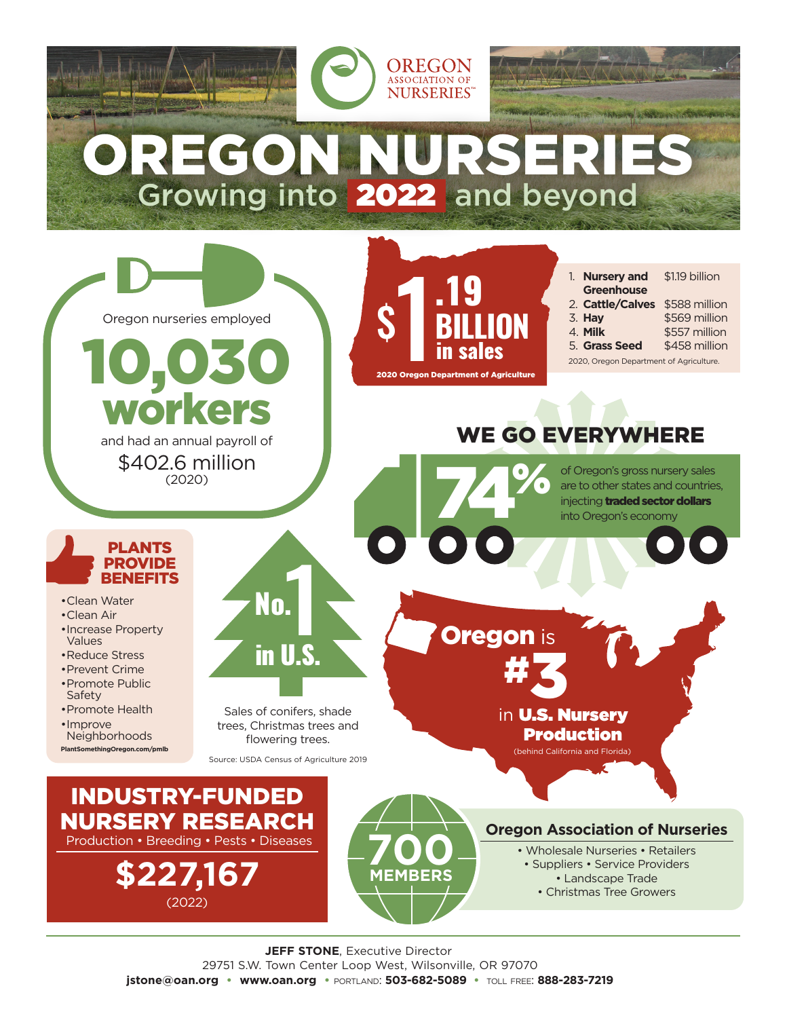

(2022)

**JEFF STONE**, Executive Director

29751 S.W. Town Center Loop West, Wilsonville, OR 97070 **jstone@oan.org • www.oan.org •** portland: **503-682-5089 •** toll free: **888-283-7219**